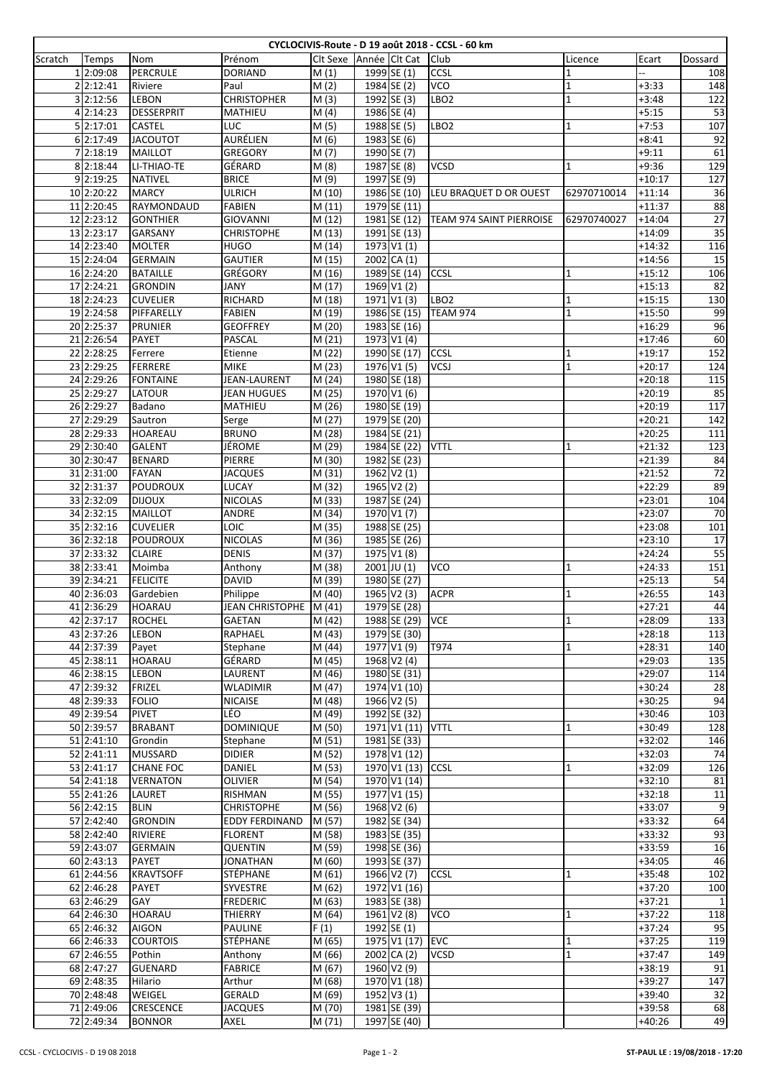| CYCLOCIVIS-Route - D 19 août 2018 - CCSL - 60 km |            |                   |                        |                   |                     |                        |                         |  |                                 |              |          |                 |
|--------------------------------------------------|------------|-------------------|------------------------|-------------------|---------------------|------------------------|-------------------------|--|---------------------------------|--------------|----------|-----------------|
| Scratch                                          | Temps      | Nom               | Prénom                 |                   |                     | Clt Sexe Année Clt Cat |                         |  | Club                            | Licence      | Ecart    | Dossard         |
|                                                  | 1 2:09:08  | <b>PERCRULE</b>   | DORIAND                | $\overline{M}(1)$ |                     |                        | 1999 SE (1)             |  | CCSL                            | 1            |          | 108             |
|                                                  | 2 2:12:41  | Riviere           | Paul                   | M(2)              |                     |                        | 1984 SE (2)             |  | <b>VCO</b>                      | 1            | $+3:33$  | 148             |
|                                                  | 3 2:12:56  | <b>LEBON</b>      | <b>CHRISTOPHER</b>     | M(3)              |                     |                        | 1992 SE (3)             |  | LBO <sub>2</sub>                | 1            | $+3:48$  | 122             |
|                                                  | 4 2:14:23  | <b>DESSERPRIT</b> | MATHIEU                | M(4)              |                     |                        | 1986 SE (4)             |  |                                 |              | $+5:15$  | 53              |
|                                                  |            | <b>CASTEL</b>     | LUC                    |                   |                     |                        |                         |  |                                 |              |          |                 |
|                                                  | 5 2:17:01  |                   |                        | M(5)              |                     |                        | 1988 SE (5)             |  | LBO2                            | $\mathbf{1}$ | $+7:53$  | 107             |
|                                                  | 6 2:17:49  | <b>JACOUTOT</b>   | AURÉLIEN               | M(6)              |                     |                        | 1983 SE (6)             |  |                                 |              | $+8:41$  | 92              |
|                                                  | 7 2:18:19  | <b>MAILLOT</b>    | GREGORY                | M(7)              |                     |                        | 1990 SE (7)             |  |                                 |              | $+9:11$  | 61              |
|                                                  | 8 2:18:44  | LI-THIAO-TE       | GÉRARD                 | M(8)              |                     |                        | $1987$ SE (8)           |  | <b>VCSD</b>                     | 1            | $+9:36$  | 129             |
|                                                  | 9 2:19:25  | <b>NATIVEL</b>    | <b>BRICE</b>           | M(9)              |                     |                        | 1997 SE (9)             |  |                                 |              | $+10:17$ | 127             |
|                                                  | 10 2:20:22 | <b>MARCY</b>      | <b>ULRICH</b>          |                   | M (10)              |                        | 1986 SE (10)            |  | LEU BRAQUET D OR OUEST          | 62970710014  | $+11:14$ | 36              |
|                                                  | 11 2:20:45 | RAYMONDAUD        | <b>FABIEN</b>          |                   | $\overline{M}$ (11) |                        | 1979 SE (11)            |  |                                 |              | $+11:37$ | 88              |
|                                                  | 12 2:23:12 | <b>GONTHIER</b>   | <b>GIOVANNI</b>        |                   | M(12)               |                        | 1981 SE (12)            |  | <b>TEAM 974 SAINT PIERROISE</b> | 62970740027  | $+14:04$ | 27              |
|                                                  |            |                   |                        |                   |                     |                        |                         |  |                                 |              |          |                 |
|                                                  | 13 2:23:17 | <b>GARSANY</b>    | <b>CHRISTOPHE</b>      |                   | M (13)              |                        | 1991 SE (13)            |  |                                 |              | $+14:09$ | 35              |
|                                                  | 14 2:23:40 | <b>MOLTER</b>     | <b>HUGO</b>            |                   | M (14)              |                        | 1973 V1 (1)             |  |                                 |              | $+14:32$ | 116             |
|                                                  | 15 2:24:04 | <b>GERMAIN</b>    | <b>GAUTIER</b>         |                   | M (15)              |                        | 2002 CA (1)             |  |                                 |              | $+14:56$ | 15              |
|                                                  | 16 2:24:20 | <b>BATAILLE</b>   | <b>GRÉGORY</b>         |                   | M(16)               |                        | 1989 SE (14)            |  | <b>CCSL</b>                     | $\mathbf{1}$ | $+15:12$ | 106             |
|                                                  | 17 2:24:21 | <b>GRONDIN</b>    | JANY                   |                   | M (17)              |                        | 1969 V1 (2)             |  |                                 |              | +15:13   | 82              |
|                                                  | 18 2:24:23 | <b>CUVELIER</b>   | RICHARD                |                   | M (18)              |                        | 1971 V1 (3)             |  | LBO <sub>2</sub>                | 1            | $+15:15$ | 130             |
|                                                  |            |                   |                        |                   |                     |                        |                         |  |                                 |              |          |                 |
|                                                  | 19 2:24:58 | PIFFARELLY        | <b>FABIEN</b>          |                   | M (19)              |                        | 1986 SE (15)            |  | <b>TEAM 974</b>                 | $\mathbf{1}$ | $+15:50$ | 99              |
|                                                  | 20 2:25:37 | <b>PRUNIER</b>    | <b>GEOFFREY</b>        |                   | M (20)              |                        | 1983 SE (16)            |  |                                 |              | $+16:29$ | 96              |
|                                                  | 21 2:26:54 | PAYET             | PASCAL                 |                   | M(21)               |                        | 1973 V1 (4)             |  |                                 |              | $+17:46$ | 60              |
|                                                  | 22 2:28:25 | Ferrere           | Etienne                |                   | M (22)              |                        | 1990 SE (17)            |  | <b>CCSL</b>                     | 1            | $+19:17$ | 152             |
|                                                  | 23 2:29:25 | <b>FERRERE</b>    | <b>MIKE</b>            |                   | M (23)              |                        | 1976 V1 (5)             |  | <b>VCSJ</b>                     | $\mathbf{1}$ | $+20:17$ | 124             |
|                                                  | 24 2:29:26 | <b>FONTAINE</b>   | JEAN-LAURENT           |                   | M (24)              |                        | 1980 SE (18)            |  |                                 |              | $+20:18$ | 115             |
|                                                  | 25 2:29:27 | LATOUR            | JEAN HUGUES            |                   |                     |                        | 1970 V1 (6)             |  |                                 |              | $+20:19$ | 85              |
|                                                  |            |                   |                        |                   | M (25)              |                        |                         |  |                                 |              |          |                 |
|                                                  | 26 2:29:27 | Badano            | MATHIEU                |                   | M (26)              |                        | 1980 SE (19)            |  |                                 |              | $+20:19$ | 117             |
|                                                  | 27 2:29:29 | Sautron           | Serge                  |                   | M (27)              |                        | 1979 SE (20)            |  |                                 |              | $+20:21$ | 142             |
|                                                  | 28 2:29:33 | <b>HOAREAU</b>    | <b>BRUNO</b>           |                   | M (28)              |                        | 1984 SE (21)            |  |                                 |              | $+20:25$ | 111             |
|                                                  | 29 2:30:40 | <b>GALENT</b>     | JÉROME                 |                   | M (29)              |                        | 1984 SE (22)            |  | <b>VTTL</b>                     | 1            | $+21:32$ | 123             |
|                                                  | 30 2:30:47 | <b>BENARD</b>     | PIERRE                 |                   | M (30)              |                        | 1982 SE (23)            |  |                                 |              | $+21:39$ | 84              |
|                                                  | 31 2:31:00 | <b>FAYAN</b>      | <b>JACQUES</b>         |                   | $\overline{M}$ (31) |                        | $1962 \overline{V2}(1)$ |  |                                 |              | $+21:52$ | $\overline{72}$ |
|                                                  |            |                   |                        |                   |                     |                        |                         |  |                                 |              |          | 89              |
|                                                  | 32 2:31:37 | <b>POUDROUX</b>   | LUCAY                  |                   | M (32)              |                        | $1965$ V2 $(2)$         |  |                                 |              | $+22:29$ |                 |
|                                                  | 33 2:32:09 | <b>DIJOUX</b>     | <b>NICOLAS</b>         |                   | M (33)              |                        | 1987 SE (24)            |  |                                 |              | $+23:01$ | 104             |
|                                                  | 34 2:32:15 | <b>MAILLOT</b>    | ANDRE                  |                   | M (34)              |                        | 1970 V1 (7)             |  |                                 |              | $+23:07$ | 70              |
|                                                  | 35 2:32:16 | <b>CUVELIER</b>   | LOIC                   |                   | M (35)              |                        | 1988 SE (25)            |  |                                 |              | $+23:08$ | 101             |
|                                                  | 36 2:32:18 | <b>POUDROUX</b>   | <b>NICOLAS</b>         |                   | M (36)              |                        | 1985 SE (26)            |  |                                 |              | $+23:10$ | 17              |
|                                                  | 37 2:33:32 | <b>CLAIRE</b>     | <b>DENIS</b>           |                   | M (37)              |                        | 1975 V1 (8)             |  |                                 |              | $+24:24$ | 55              |
|                                                  | 38 2:33:41 | Moimba            | Anthony                |                   | M (38)              |                        | 2001 JU (1)             |  | VCO                             | $\mathbf{1}$ | $+24:33$ | 151             |
|                                                  |            |                   |                        |                   |                     |                        |                         |  |                                 |              |          |                 |
|                                                  | 39 2:34:21 | <b>FELICITE</b>   | <b>DAVID</b>           |                   | M (39)              |                        | 1980 SE (27)            |  |                                 |              | $+25:13$ | 54              |
|                                                  | 40 2:36:03 | Gardebien         | Philippe               |                   | M (40)              |                        | 1965 V2 (3)             |  | <b>ACPR</b>                     | $\mathbf 1$  | $+26:55$ | 143             |
|                                                  | 41 2:36:29 | <b>HOARAU</b>     | JEAN CHRISTOPHE M (41) |                   |                     |                        | 1979 SE (28)            |  |                                 |              | $+27:21$ | 44              |
|                                                  | 42 2:37:17 | <b>ROCHEL</b>     | GAETAN                 |                   | M (42)              |                        | 1988 SE (29)            |  | <b>VCE</b>                      | $\mathbf{1}$ | $+28:09$ | 133             |
|                                                  | 43 2:37:26 | LEBON             | RAPHAEL                |                   | M (43)              |                        | 1979 SE (30)            |  |                                 |              | $+28:18$ | 113             |
|                                                  | 44 2:37:39 | Payet             | Stephane               |                   | M (44)              |                        | 1977 V1 (9)             |  | T974                            | 1            | $+28:31$ | 140             |
|                                                  |            |                   |                        |                   |                     |                        | 1968 V2 (4)             |  |                                 |              |          |                 |
|                                                  | 45 2:38:11 | HOARAU            | GÉRARD                 |                   | M (45)              |                        |                         |  |                                 |              | $+29:03$ | 135             |
|                                                  | 46 2:38:15 | LEBON             | LAURENT                |                   | M (46)              |                        | 1980 SE (31)            |  |                                 |              | $+29:07$ | 114             |
|                                                  | 47 2:39:32 | <b>FRIZEL</b>     | <b>WLADIMIR</b>        |                   | M (47)              |                        | 1974 V1 (10)            |  |                                 |              | $+30:24$ | 28              |
|                                                  | 48 2:39:33 | <b>FOLIO</b>      | <b>NICAISE</b>         |                   | M (48)              |                        | 1966 V2 (5)             |  |                                 |              | $+30:25$ | 94              |
|                                                  | 49 2:39:54 | <b>PIVET</b>      | LÉO                    |                   | M (49)              |                        | 1992 SE (32)            |  |                                 |              | $+30:46$ | 103             |
|                                                  | 50 2:39:57 | <b>BRABANT</b>    | <b>DOMINIQUE</b>       |                   | M (50)              |                        | 1971 V1 (11) VTTL       |  |                                 | 1            | $+30:49$ | 128             |
|                                                  | 51 2:41:10 | Grondin           | Stephane               |                   | M (51)              |                        | 1981 SE (33)            |  |                                 |              | $+32:02$ | 146             |
|                                                  |            |                   |                        |                   |                     |                        |                         |  |                                 |              |          |                 |
|                                                  | 52 2:41:11 | <b>MUSSARD</b>    | <b>DIDIER</b>          |                   | M (52)              |                        | 1978 V1 (12)            |  |                                 |              | $+32:03$ | 74              |
|                                                  | 53 2:41:17 | <b>CHANE FOC</b>  | DANIEL                 |                   | M (53)              |                        | 1970 V1 (13) CCSL       |  |                                 | 1            | $+32:09$ | 126             |
|                                                  | 54 2:41:18 | <b>VERNATON</b>   | OLIVIER                |                   | M (54)              |                        | 1970 V1 (14)            |  |                                 |              | $+32:10$ | 81              |
|                                                  | 55 2:41:26 | LAURET            | RISHMAN                |                   | M (55)              |                        | 1977 V1 (15)            |  |                                 |              | $+32:18$ | $11\,$          |
|                                                  | 56 2:42:15 | <b>BLIN</b>       | <b>CHRISTOPHE</b>      |                   | M (56)              |                        | 1968 V2 (6)             |  |                                 |              | +33:07   | $\overline{9}$  |
|                                                  | 57 2:42:40 | <b>GRONDIN</b>    | <b>EDDY FERDINAND</b>  |                   | M (57)              |                        | 1982 SE (34)            |  |                                 |              | $+33:32$ | 64              |
|                                                  | 58 2:42:40 | RIVIERE           | <b>FLORENT</b>         |                   | M (58)              |                        | 1983 SE (35)            |  |                                 |              | $+33:32$ | 93              |
|                                                  |            |                   |                        |                   |                     |                        |                         |  |                                 |              |          |                 |
|                                                  | 59 2:43:07 | <b>GERMAIN</b>    | QUENTIN                |                   | M (59)              |                        | 1998 SE (36)            |  |                                 |              | +33:59   | 16              |
|                                                  | 60 2:43:13 | <b>PAYET</b>      | JONATHAN               |                   | M (60)              |                        | 1993 SE (37)            |  |                                 |              | +34:05   | 46              |
|                                                  | 61 2:44:56 | <b>KRAVTSOFF</b>  | STÉPHANE               |                   | M(61)               |                        | 1966 V2 (7)             |  | CCSL                            | 1            | $+35:48$ | 102             |
|                                                  | 62 2:46:28 | PAYET             | SYVESTRE               |                   | $\overline{M(62)}$  |                        | 1972 V1 (16)            |  |                                 |              | $+37:20$ | 100             |
|                                                  | 63 2:46:29 | GAY               | <b>FREDERIC</b>        |                   | $\overline{M}$ (63) |                        | 1983 SE (38)            |  |                                 |              | $+37:21$ | $1\overline{ }$ |
|                                                  | 64 2:46:30 | <b>HOARAU</b>     | THIERRY                |                   | M (64)              |                        | 1961 V2 (8)             |  | <b>VCO</b>                      | 1            | $+37:22$ | 118             |
|                                                  | 65 2:46:32 | <b>AIGON</b>      | <b>PAULINE</b>         | F(1)              |                     |                        | 1992 SE (1)             |  |                                 |              | $+37:24$ | 95              |
|                                                  |            |                   |                        |                   |                     |                        |                         |  |                                 |              |          |                 |
|                                                  | 66 2:46:33 | <b>COURTOIS</b>   | <b>STÉPHANE</b>        |                   | M (65)              |                        | 1975 V1 (17)            |  | <b>EVC</b>                      | 1            | $+37:25$ | 119             |
|                                                  | 67 2:46:55 | Pothin            | Anthony                |                   | M (66)              |                        | 2002 CA (2)             |  | <b>VCSD</b>                     | $\mathbf{1}$ | $+37:47$ | 149             |
|                                                  | 68 2:47:27 | GUENARD           | <b>FABRICE</b>         |                   | M (67)              |                        | 1960 V2 (9)             |  |                                 |              | $+38:19$ | 91              |
|                                                  | 69 2:48:35 | Hilario           | Arthur                 |                   | M (68)              |                        | 1970 V1 (18)            |  |                                 |              | +39:27   | 147             |
|                                                  | 70 2:48:48 | WEIGEL            | GERALD                 |                   | M (69)              |                        | 1952 V3 (1)             |  |                                 |              | $+39:40$ | 32              |
|                                                  | 71 2:49:06 | <b>CRESCENCE</b>  | <b>JACQUES</b>         |                   | M (70)              |                        | 1981 SE (39)            |  |                                 |              | $+39:58$ | 68              |
|                                                  |            |                   |                        |                   |                     |                        |                         |  |                                 |              |          |                 |
|                                                  | 72 2:49:34 | <b>BONNOR</b>     | AXEL                   |                   | M (71)              |                        | 1997 SE (40)            |  |                                 |              | $+40:26$ | 49              |